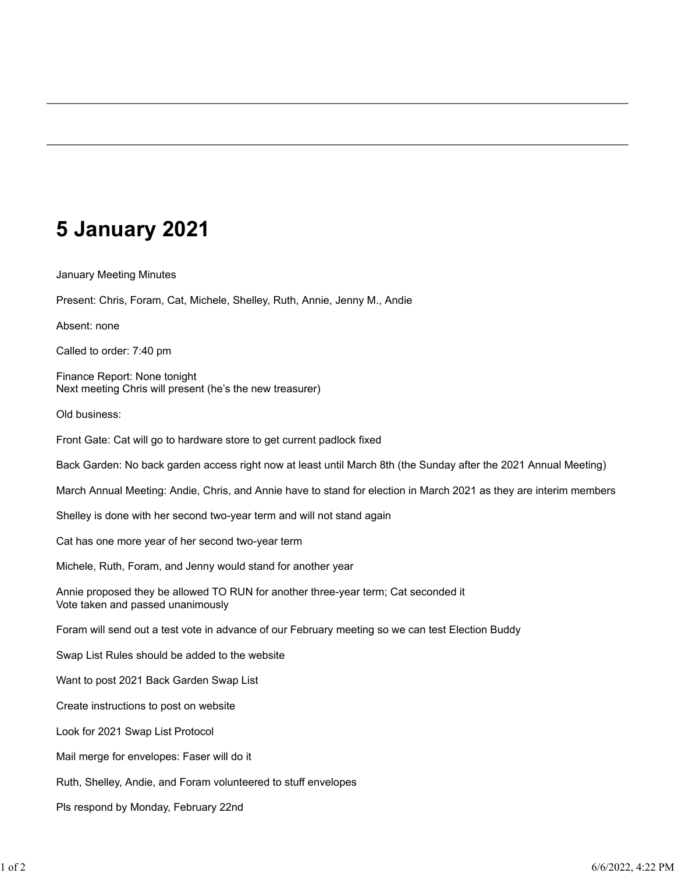#### **5 January 2021**

January Meeting Minutes

Present: Chris, Foram, Cat, Michele, Shelley, Ruth, Annie, Jenny M., Andie

Absent: none

Called to order: 7:40 pm

Finance Report: None tonight Next meeting Chris will present (he's the new treasurer)

Old business:

Front Gate: Cat will go to hardware store to get current padlock fixed

Back Garden: No back garden access right now at least until March 8th (the Sunday after the 2021 Annual Meeting)

March Annual Meeting: Andie, Chris, and Annie have to stand for election in March 2021 as they are interim members

Shelley is done with her second two-year term and will not stand again

Cat has one more year of her second two-year term

Michele, Ruth, Foram, and Jenny would stand for another year

Annie proposed they be allowed TO RUN for another three-year term; Cat seconded it Vote taken and passed unanimously

Foram will send out a test vote in advance of our February meeting so we can test Election Buddy

Swap List Rules should be added to the website

Want to post 2021 Back Garden Swap List

Create instructions to post on website

Look for 2021 Swap List Protocol

Mail merge for envelopes: Faser will do it

Ruth, Shelley, Andie, and Foram volunteered to stuff envelopes

Pls respond by Monday, February 22nd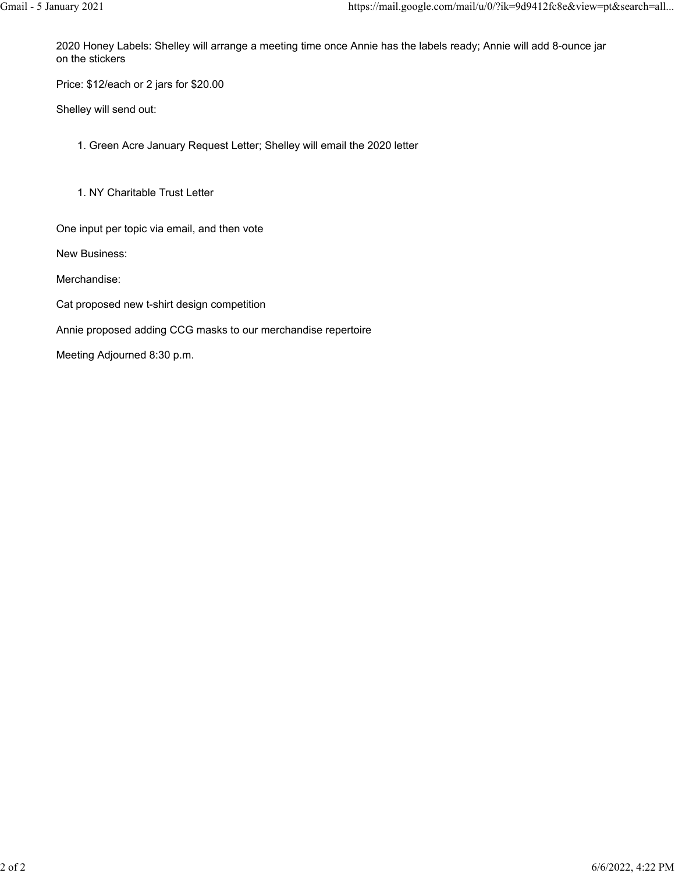2020 Honey Labels: Shelley will arrange a meeting time once Annie has the labels ready; Annie will add 8-ounce jar on the stickers

Price: \$12/each or 2 jars for \$20.00

Shelley will send out:

1. Green Acre January Request Letter; Shelley will email the 2020 letter

1. NY Charitable Trust Letter

One input per topic via email, and then vote

New Business:

Merchandise:

Cat proposed new t-shirt design competition

Annie proposed adding CCG masks to our merchandise repertoire

Meeting Adjourned 8:30 p.m.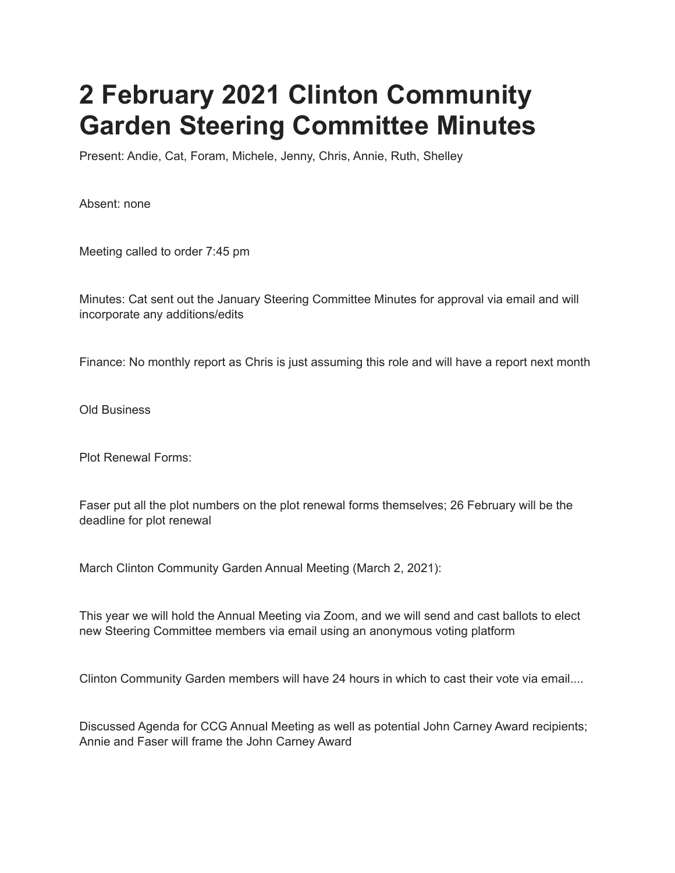# **2 February 2021 Clinton Community Garden Steering Committee Minutes**

Present: Andie, Cat, Foram, Michele, Jenny, Chris, Annie, Ruth, Shelley

Absent: none

Meeting called to order 7:45 pm

Minutes: Cat sent out the January Steering Committee Minutes for approval via email and will incorporate any additions/edits

Finance: No monthly report as Chris is just assuming this role and will have a report next month

Old Business

Plot Renewal Forms:

Faser put all the plot numbers on the plot renewal forms themselves; 26 February will be the deadline for plot renewal

March Clinton Community Garden Annual Meeting (March 2, 2021):

This year we will hold the Annual Meeting via Zoom, and we will send and cast ballots to elect new Steering Committee members via email using an anonymous voting platform

Clinton Community Garden members will have 24 hours in which to cast their vote via email....

Discussed Agenda for CCG Annual Meeting as well as potential John Carney Award recipients; Annie and Faser will frame the John Carney Award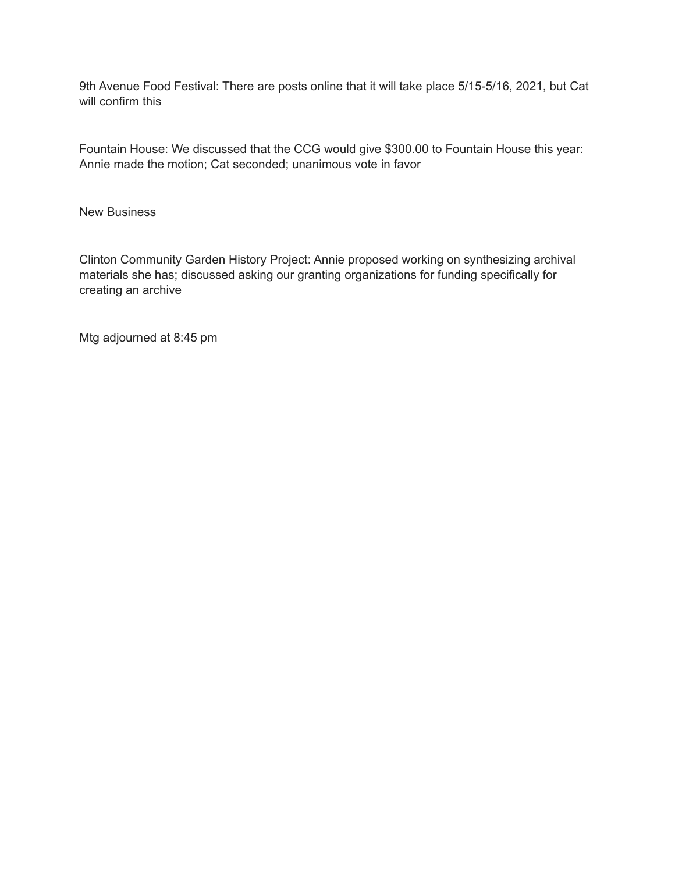9th Avenue Food Festival: There are posts online that it will take place 5/15-5/16, 2021, but Cat will confirm this

Fountain House: We discussed that the CCG would give \$300.00 to Fountain House this year: Annie made the motion; Cat seconded; unanimous vote in favor

New Business

Clinton Community Garden History Project: Annie proposed working on synthesizing archival materials she has; discussed asking our granting organizations for funding specifically for creating an archive

Mtg adjourned at 8:45 pm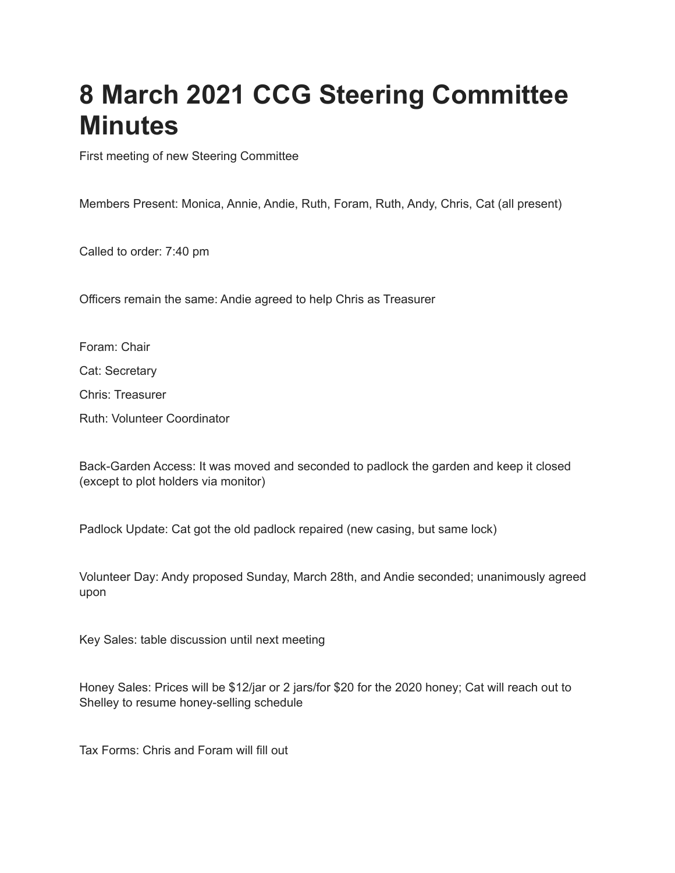### **8 March 2021 CCG Steering Committee Minutes**

First meeting of new Steering Committee

Members Present: Monica, Annie, Andie, Ruth, Foram, Ruth, Andy, Chris, Cat (all present)

Called to order: 7:40 pm

Officers remain the same: Andie agreed to help Chris as Treasurer

Foram: Chair Cat: Secretary Chris: Treasurer Ruth: Volunteer Coordinator

Back-Garden Access: It was moved and seconded to padlock the garden and keep it closed (except to plot holders via monitor)

Padlock Update: Cat got the old padlock repaired (new casing, but same lock)

Volunteer Day: Andy proposed Sunday, March 28th, and Andie seconded; unanimously agreed upon

Key Sales: table discussion until next meeting

Honey Sales: Prices will be \$12/jar or 2 jars/for \$20 for the 2020 honey; Cat will reach out to Shelley to resume honey-selling schedule

Tax Forms: Chris and Foram will fill out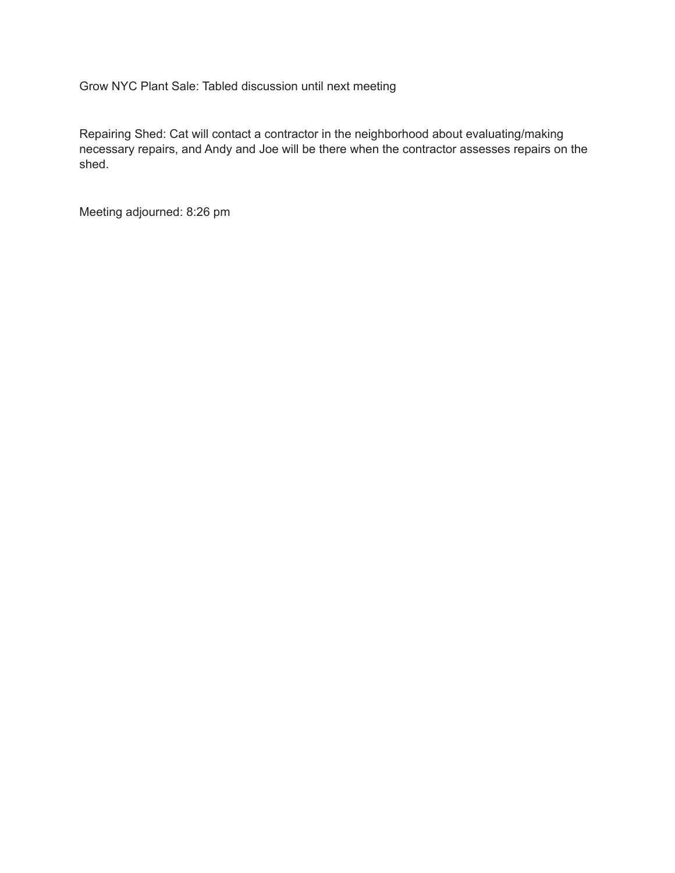Grow NYC Plant Sale: Tabled discussion until next meeting

Repairing Shed: Cat will contact a contractor in the neighborhood about evaluating/making necessary repairs, and Andy and Joe will be there when the contractor assesses repairs on the shed.

Meeting adjourned: 8:26 pm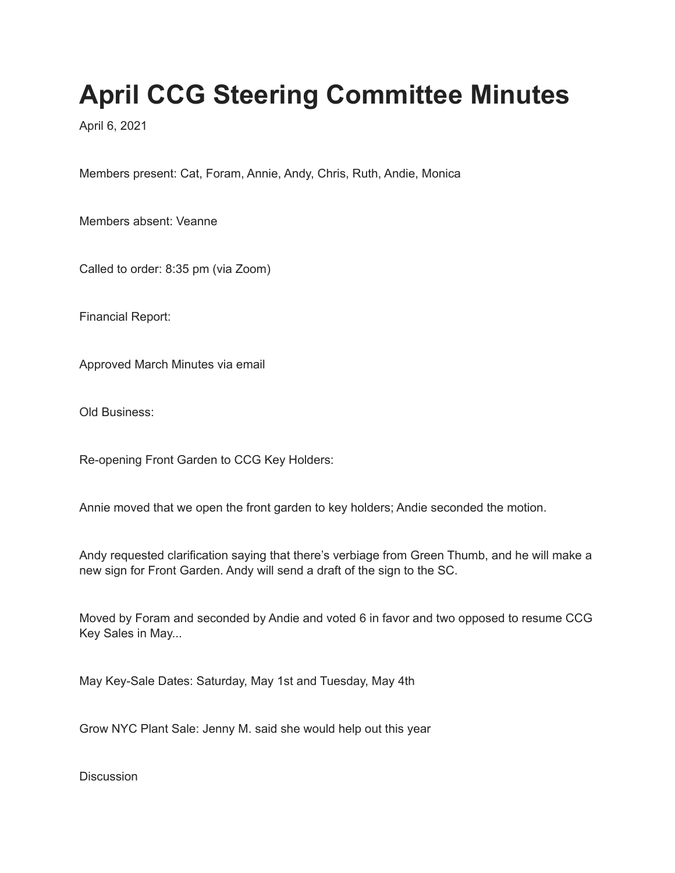# **April CCG Steering Committee Minutes**

April 6, 2021

Members present: Cat, Foram, Annie, Andy, Chris, Ruth, Andie, Monica

Members absent: Veanne

Called to order: 8:35 pm (via Zoom)

Financial Report:

Approved March Minutes via email

Old Business:

Re-opening Front Garden to CCG Key Holders:

Annie moved that we open the front garden to key holders; Andie seconded the motion.

Andy requested clarification saying that there's verbiage from Green Thumb, and he will make a new sign for Front Garden. Andy will send a draft of the sign to the SC.

Moved by Foram and seconded by Andie and voted 6 in favor and two opposed to resume CCG Key Sales in May...

May Key-Sale Dates: Saturday, May 1st and Tuesday, May 4th

Grow NYC Plant Sale: Jenny M. said she would help out this year

**Discussion**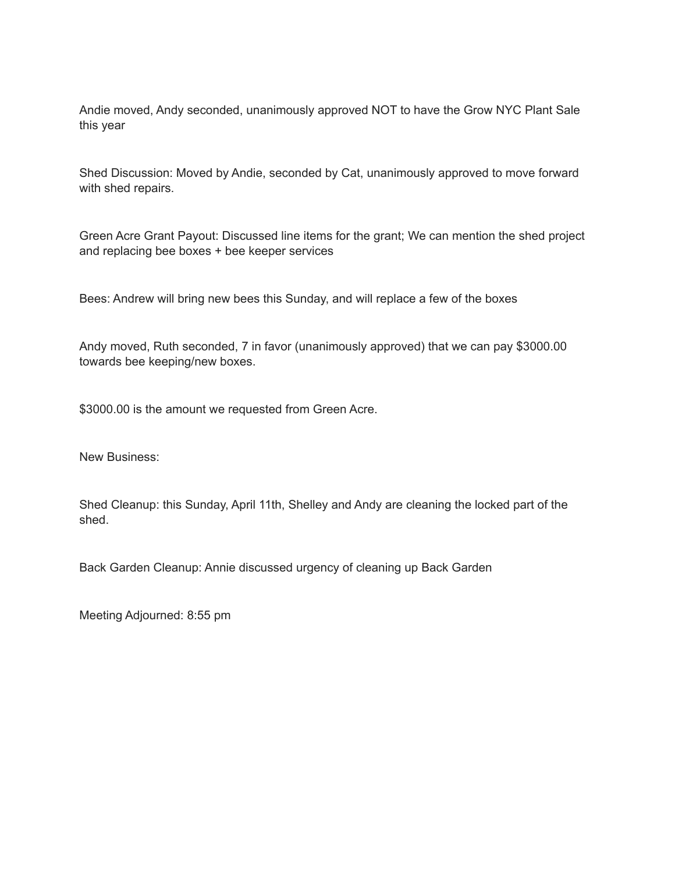Andie moved, Andy seconded, unanimously approved NOT to have the Grow NYC Plant Sale this year

Shed Discussion: Moved by Andie, seconded by Cat, unanimously approved to move forward with shed repairs.

Green Acre Grant Payout: Discussed line items for the grant; We can mention the shed project and replacing bee boxes + bee keeper services

Bees: Andrew will bring new bees this Sunday, and will replace a few of the boxes

Andy moved, Ruth seconded, 7 in favor (unanimously approved) that we can pay \$3000.00 towards bee keeping/new boxes.

\$3000.00 is the amount we requested from Green Acre.

New Business:

Shed Cleanup: this Sunday, April 11th, Shelley and Andy are cleaning the locked part of the shed.

Back Garden Cleanup: Annie discussed urgency of cleaning up Back Garden

Meeting Adjourned: 8:55 pm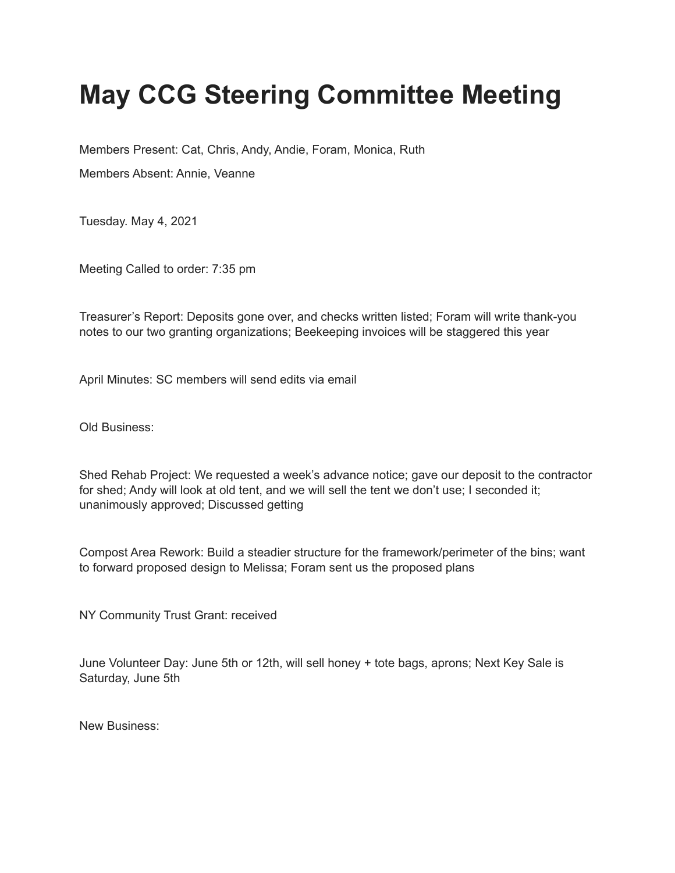# **May CCG Steering Committee Meeting**

Members Present: Cat, Chris, Andy, Andie, Foram, Monica, Ruth

Members Absent: Annie, Veanne

Tuesday. May 4, 2021

Meeting Called to order: 7:35 pm

Treasurer's Report: Deposits gone over, and checks written listed; Foram will write thank-you notes to our two granting organizations; Beekeeping invoices will be staggered this year

April Minutes: SC members will send edits via email

Old Business:

Shed Rehab Project: We requested a week's advance notice; gave our deposit to the contractor for shed; Andy will look at old tent, and we will sell the tent we don't use; I seconded it; unanimously approved; Discussed getting

Compost Area Rework: Build a steadier structure for the framework/perimeter of the bins; want to forward proposed design to Melissa; Foram sent us the proposed plans

NY Community Trust Grant: received

June Volunteer Day: June 5th or 12th, will sell honey + tote bags, aprons; Next Key Sale is Saturday, June 5th

New Business: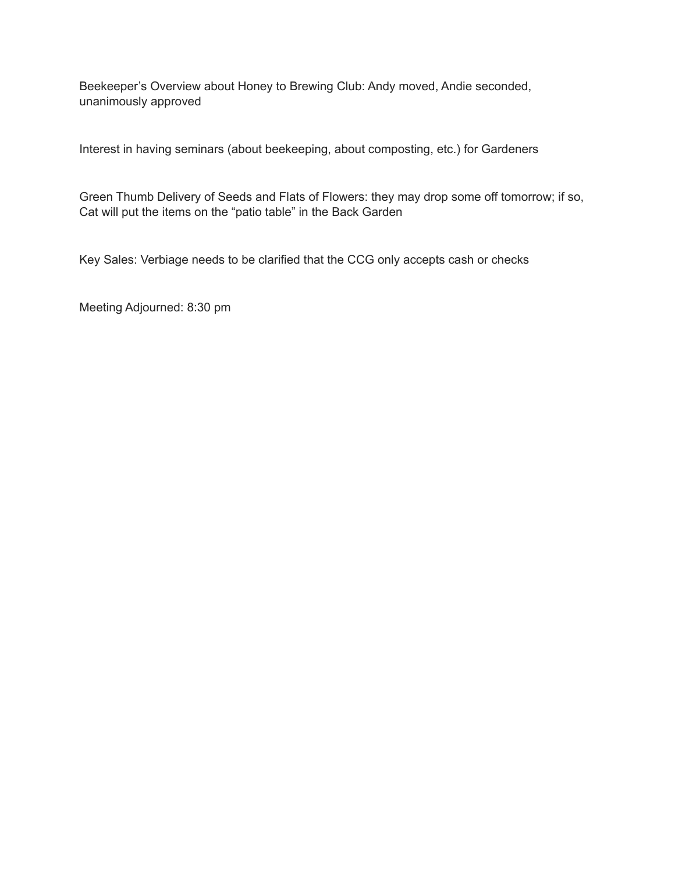Beekeeper's Overview about Honey to Brewing Club: Andy moved, Andie seconded, unanimously approved

Interest in having seminars (about beekeeping, about composting, etc.) for Gardeners

Green Thumb Delivery of Seeds and Flats of Flowers: they may drop some off tomorrow; if so, Cat will put the items on the "patio table" in the Back Garden

Key Sales: Verbiage needs to be clarified that the CCG only accepts cash or checks

Meeting Adjourned: 8:30 pm